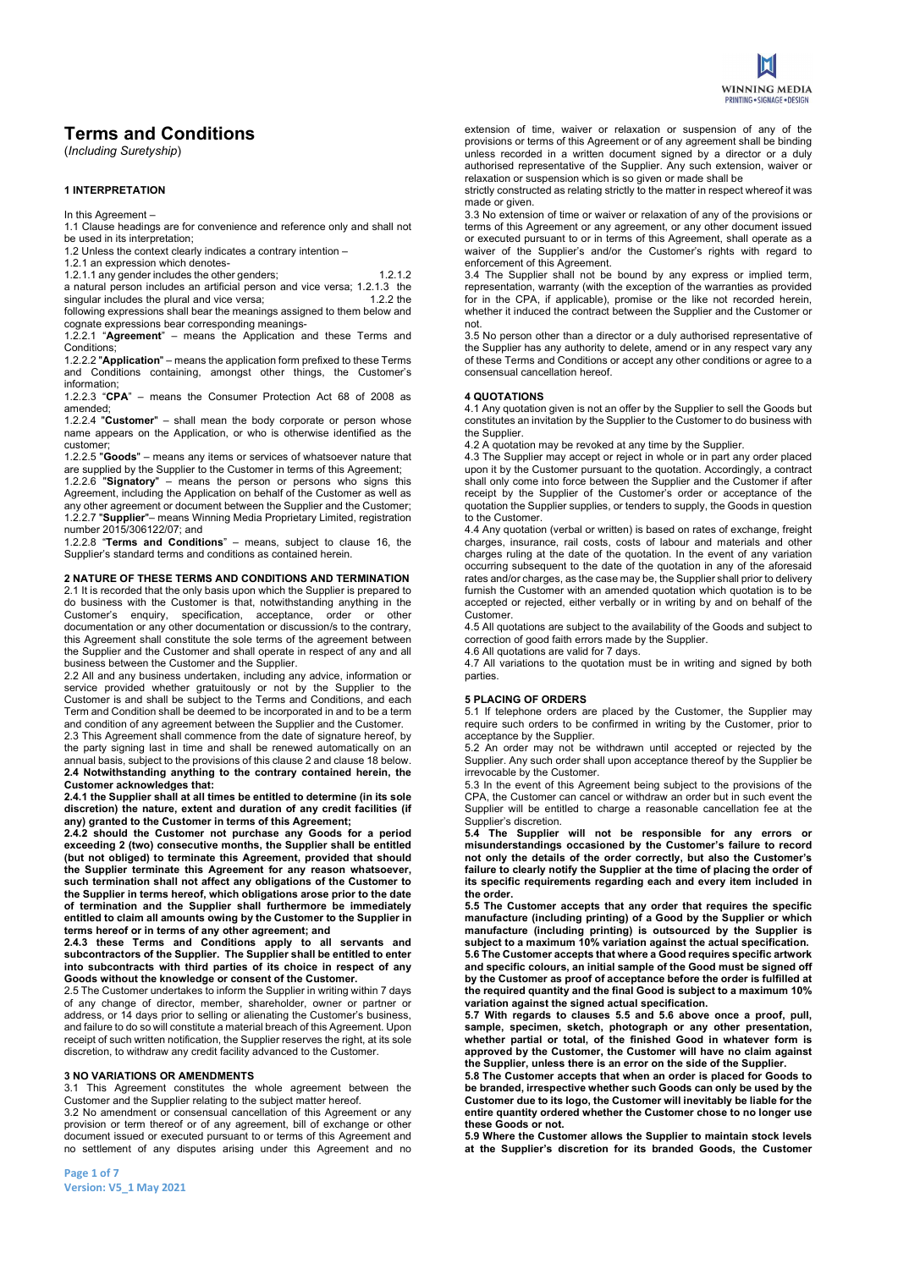

# Terms and Conditions

(Including Suretyship)

# 1 INTERPRETATION

In this Agreement –

1.1 Clause headings are for convenience and reference only and shall not be used in its interpretation;

1.2 Unless the context clearly indicates a contrary intention –

1.2.1 an expression which denotes-

1.2.1.1 any gender includes the other genders; 1.2.1.2 a natural person includes an artificial person and vice versa; 1.2.1.3 the<br>singular includes the plural and vice versa; 1.2.2 the singular includes the plural and vice versa; following expressions shall bear the meanings assigned to them below and cognate expressions bear corresponding meanings-

1.2.2.1 "Agreement" – means the Application and these Terms and Conditions;

1.2.2.2 "Application" – means the application form prefixed to these Terms and Conditions containing, amongst other things, the Customer's information;

1.2.2.3 "CPA" – means the Consumer Protection Act 68 of 2008 as amended;

1.2.2.4 "Customer" – shall mean the body corporate or person whose name appears on the Application, or who is otherwise identified as the customer;

1.2.2.5 "Goods" – means any items or services of whatsoever nature that are supplied by the Supplier to the Customer in terms of this Agreement; 1.2.2.6 "Signatory" – means the person or persons who signs this Agreement, including the Application on behalf of the Customer as well as any other agreement or document between the Supplier and the Customer; 1.2.2.7 "Supplier"– means Winning Media Proprietary Limited, registration number 2015/306122/07; and

1.2.2.8 "Terms and Conditions" – means, subject to clause 16, the Supplier's standard terms and conditions as contained herein.

#### 2 NATURE OF THESE TERMS AND CONDITIONS AND TERMINATION

2.1 It is recorded that the only basis upon which the Supplier is prepared to do business with the Customer is that, notwithstanding anything in the Customer's enquiry, specification, acceptance, order or other documentation or any other documentation or discussion/s to the contrary, this Agreement shall constitute the sole terms of the agreement between the Supplier and the Customer and shall operate in respect of any and all business between the Customer and the Supplier.

2.2 All and any business undertaken, including any advice, information or service provided whether gratuitously or not by the Supplier to the Customer is and shall be subject to the Terms and Conditions, and each Term and Condition shall be deemed to be incorporated in and to be a term and condition of any agreement between the Supplier and the Customer.

2.3 This Agreement shall commence from the date of signature hereof, by the party signing last in time and shall be renewed automatically on an annual basis, subject to the provisions of this clause 2 and clause 18 below. 2.4 Notwithstanding anything to the contrary contained herein, the Customer acknowledges that:

2.4.1 the Supplier shall at all times be entitled to determine (in its sole discretion) the nature, extent and duration of any credit facilities (if any) granted to the Customer in terms of this Agreement;

2.4.2 should the Customer not purchase any Goods for a period exceeding 2 (two) consecutive months, the Supplier shall be entitled (but not obliged) to terminate this Agreement, provided that should the Supplier terminate this Agreement for any reason whatsoever, such termination shall not affect any obligations of the Customer to the Supplier in terms hereof, which obligations arose prior to the date of termination and the Supplier shall furthermore be immediately entitled to claim all amounts owing by the Customer to the Supplier in terms hereof or in terms of any other agreement; and

2.4.3 these Terms and Conditions apply to all servants and subcontractors of the Supplier. The Supplier shall be entitled to enter into subcontracts with third parties of its choice in respect of any Goods without the knowledge or consent of the Customer.

2.5 The Customer undertakes to inform the Supplier in writing within 7 days of any change of director, member, shareholder, owner or partner or address, or 14 days prior to selling or alienating the Customer's business, and failure to do so will constitute a material breach of this Agreement. Upon receipt of such written notification, the Supplier reserves the right, at its sole discretion, to withdraw any credit facility advanced to the Customer.

#### 3 NO VARIATIONS OR AMENDMENTS

3.1 This Agreement constitutes the whole agreement between the Customer and the Supplier relating to the subject matter hereof.

3.2 No amendment or consensual cancellation of this Agreement or any provision or term thereof or of any agreement, bill of exchange or other document issued or executed pursuant to or terms of this Agreement and no settlement of any disputes arising under this Agreement and no extension of time, waiver or relaxation or suspension of any of the provisions or terms of this Agreement or of any agreement shall be binding unless recorded in a written document signed by a director or a duly authorised representative of the Supplier. Any such extension, waiver or relaxation or suspension which is so given or made shall be

strictly constructed as relating strictly to the matter in respect whereof it was made or given.

3.3 No extension of time or waiver or relaxation of any of the provisions or terms of this Agreement or any agreement, or any other document issued or executed pursuant to or in terms of this Agreement, shall operate as a waiver of the Supplier's and/or the Customer's rights with regard to enforcement of this Agreement.

3.4 The Supplier shall not be bound by any express or implied term, representation, warranty (with the exception of the warranties as provided for in the CPA, if applicable), promise or the like not recorded herein, whether it induced the contract between the Supplier and the Customer or not.

3.5 No person other than a director or a duly authorised representative of the Supplier has any authority to delete, amend or in any respect vary any of these Terms and Conditions or accept any other conditions or agree to a consensual cancellation hereof.

#### 4 QUOTATIONS

4.1 Any quotation given is not an offer by the Supplier to sell the Goods but constitutes an invitation by the Supplier to the Customer to do business with the Supplier.

4.2 A quotation may be revoked at any time by the Supplier.

4.3 The Supplier may accept or reject in whole or in part any order placed upon it by the Customer pursuant to the quotation. Accordingly, a contract shall only come into force between the Supplier and the Customer if after receipt by the Supplier of the Customer's order or acceptance of the quotation the Supplier supplies, or tenders to supply, the Goods in question to the Customer.

4.4 Any quotation (verbal or written) is based on rates of exchange, freight charges, insurance, rail costs, costs of labour and materials and other charges ruling at the date of the quotation. In the event of any variation occurring subsequent to the date of the quotation in any of the aforesaid rates and/or charges, as the case may be, the Supplier shall prior to delivery furnish the Customer with an amended quotation which quotation is to be accepted or rejected, either verbally or in writing by and on behalf of the Customer.

4.5 All quotations are subject to the availability of the Goods and subject to correction of good faith errors made by the Supplier.

4.6 All quotations are valid for 7 days.

4.7 All variations to the quotation must be in writing and signed by both parties.

#### 5 PLACING OF ORDERS

5.1 If telephone orders are placed by the Customer, the Supplier may require such orders to be confirmed in writing by the Customer, prior to acceptance by the Supplier.

5.2 An order may not be withdrawn until accepted or rejected by the Supplier. Any such order shall upon acceptance thereof by the Supplier be irrevocable by the Customer.

5.3 In the event of this Agreement being subject to the provisions of the CPA, the Customer can cancel or withdraw an order but in such event the Supplier will be entitled to charge a reasonable cancellation fee at the Supplier's discretion.

5.4 The Supplier will not be responsible for any errors or misunderstandings occasioned by the Customer's failure to record not only the details of the order correctly, but also the Customer's failure to clearly notify the Supplier at the time of placing the order of its specific requirements regarding each and every item included in the order.

5.5 The Customer accepts that any order that requires the specific manufacture (including printing) of a Good by the Supplier or which manufacture (including printing) is outsourced by the Supplier is subject to a maximum 10% variation against the actual specification. 5.6 The Customer accepts that where a Good requires specific artwork and specific colours, an initial sample of the Good must be signed off by the Customer as proof of acceptance before the order is fulfilled at the required quantity and the final Good is subject to a maximum 10% variation against the signed actual specification.

5.7 With regards to clauses 5.5 and 5.6 above once a proof, pull, sample, specimen, sketch, photograph or any other presentation, whether partial or total, of the finished Good in whatever form is approved by the Customer, the Customer will have no claim against the Supplier, unless there is an error on the side of the Supplier.

5.8 The Customer accepts that when an order is placed for Goods to be branded, irrespective whether such Goods can only be used by the Customer due to its logo, the Customer will inevitably be liable for the entire quantity ordered whether the Customer chose to no longer use these Goods or not.

5.9 Where the Customer allows the Supplier to maintain stock levels at the Supplier's discretion for its branded Goods, the Customer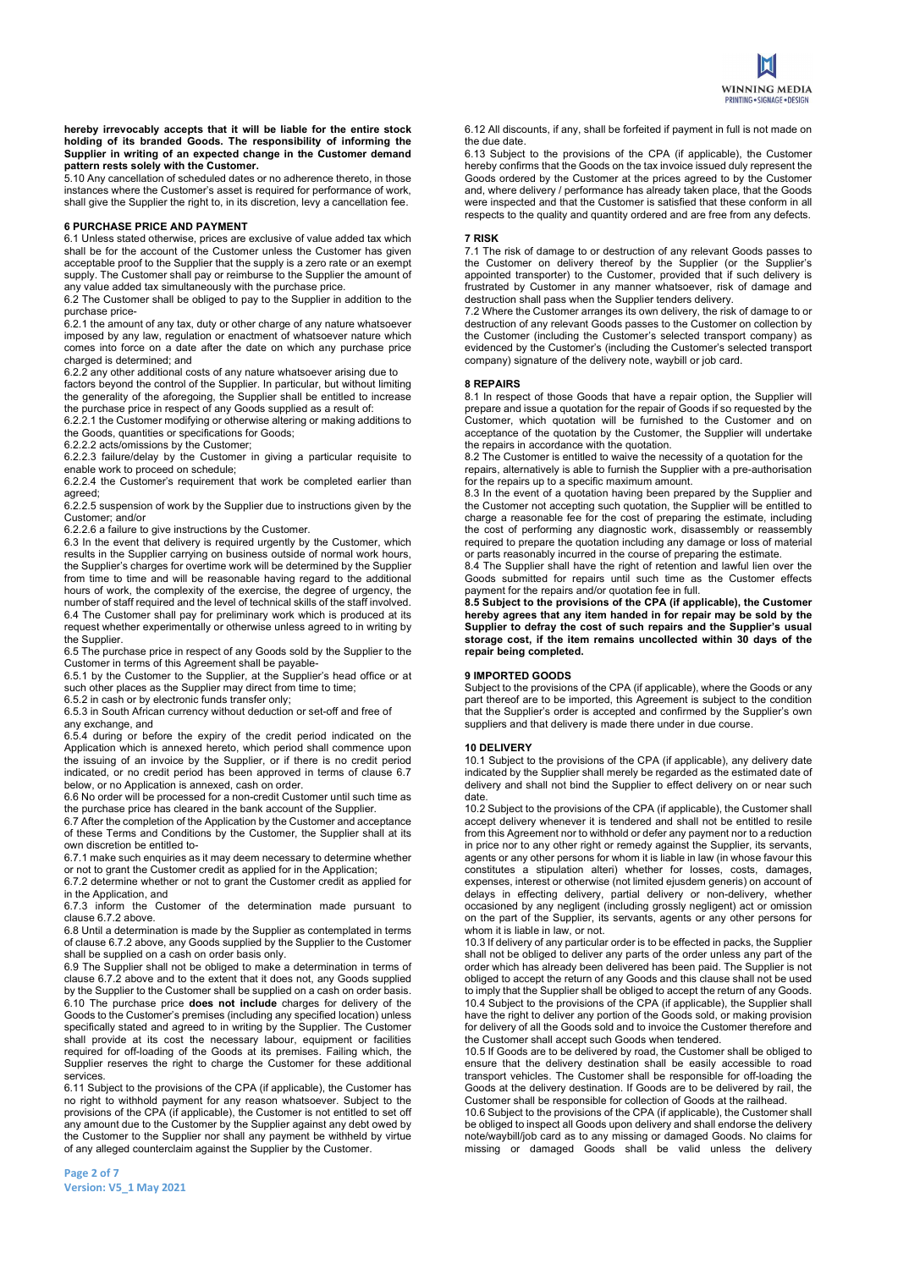

hereby irrevocably accepts that it will be liable for the entire stock holding of its branded Goods. The responsibility of informing the Supplier in writing of an expected change in the Customer demand pattern rests solely with the Customer.

5.10 Any cancellation of scheduled dates or no adherence thereto, in those instances where the Customer's asset is required for performance of work, shall give the Supplier the right to, in its discretion, levy a cancellation fee.

## 6 PURCHASE PRICE AND PAYMENT

6.1 Unless stated otherwise, prices are exclusive of value added tax which shall be for the account of the Customer unless the Customer has given acceptable proof to the Supplier that the supply is a zero rate or an exempt supply. The Customer shall pay or reimburse to the Supplier the amount of any value added tax simultaneously with the purchase price.

6.2 The Customer shall be obliged to pay to the Supplier in addition to the purchase price-

6.2.1 the amount of any tax, duty or other charge of any nature whatsoever imposed by any law, regulation or enactment of whatsoever nature which comes into force on a date after the date on which any purchase price charged is determined; and

6.2.2 any other additional costs of any nature whatsoever arising due to factors beyond the control of the Supplier. In particular, but without limiting the generality of the aforegoing, the Supplier shall be entitled to increase

the purchase price in respect of any Goods supplied as a result of:

6.2.2.1 the Customer modifying or otherwise altering or making additions to the Goods, quantities or specifications for Goods;

6.2.2.2 acts/omissions by the Customer;

6.2.2.3 failure/delay by the Customer in giving a particular requisite to enable work to proceed on schedule;

6.2.2.4 the Customer's requirement that work be completed earlier than agreed;

6.2.2.5 suspension of work by the Supplier due to instructions given by the Customer; and/or

6.2.2.6 a failure to give instructions by the Customer.

6.3 In the event that delivery is required urgently by the Customer, which results in the Supplier carrying on business outside of normal work hours, the Supplier's charges for overtime work will be determined by the Supplier from time to time and will be reasonable having regard to the additional hours of work, the complexity of the exercise, the degree of urgency, the number of staff required and the level of technical skills of the staff involved. 6.4 The Customer shall pay for preliminary work which is produced at its request whether experimentally or otherwise unless agreed to in writing by the Supplier.

6.5 The purchase price in respect of any Goods sold by the Supplier to the Customer in terms of this Agreement shall be payable-

6.5.1 by the Customer to the Supplier, at the Supplier's head office or at such other places as the Supplier may direct from time to time;

6.5.2 in cash or by electronic funds transfer only;

6.5.3 in South African currency without deduction or set-off and free of any exchange, and

6.5.4 during or before the expiry of the credit period indicated on the Application which is annexed hereto, which period shall commence upon the issuing of an invoice by the Supplier, or if there is no credit period indicated, or no credit period has been approved in terms of clause 6.7 below, or no Application is annexed, cash on order.

6.6 No order will be processed for a non-credit Customer until such time as the purchase price has cleared in the bank account of the Supplier.

6.7 After the completion of the Application by the Customer and acceptance of these Terms and Conditions by the Customer, the Supplier shall at its own discretion be entitled to-

6.7.1 make such enquiries as it may deem necessary to determine whether or not to grant the Customer credit as applied for in the Application;

6.7.2 determine whether or not to grant the Customer credit as applied for in the Application, and

6.7.3 inform the Customer of the determination made pursuant to clause 6.7.2 above.

6.8 Until a determination is made by the Supplier as contemplated in terms of clause 6.7.2 above, any Goods supplied by the Supplier to the Customer shall be supplied on a cash on order basis only.

6.9 The Supplier shall not be obliged to make a determination in terms of clause 6.7.2 above and to the extent that it does not, any Goods supplied by the Supplier to the Customer shall be supplied on a cash on order basis.  $6.10$  The purchase price does not include charges for delivery of the Goods to the Customer's premises (including any specified location) unless specifically stated and agreed to in writing by the Supplier. The Customer shall provide at its cost the necessary labour, equipment or facilities required for off-loading of the Goods at its premises. Failing which, the Supplier reserves the right to charge the Customer for these additional services.

6.11 Subject to the provisions of the CPA (if applicable), the Customer has no right to withhold payment for any reason whatsoever. Subject to the provisions of the CPA (if applicable), the Customer is not entitled to set off any amount due to the Customer by the Supplier against any debt owed by the Customer to the Supplier nor shall any payment be withheld by virtue of any alleged counterclaim against the Supplier by the Customer.

Page 2 of 7 Version: V5\_1 May 2021 6.12 All discounts, if any, shall be forfeited if payment in full is not made on the due date.

6.13 Subject to the provisions of the CPA (if applicable), the Customer hereby confirms that the Goods on the tax invoice issued duly represent the Goods ordered by the Customer at the prices agreed to by the Customer and, where delivery / performance has already taken place, that the Goods were inspected and that the Customer is satisfied that these conform in all respects to the quality and quantity ordered and are free from any defects.

#### 7 RISK

7.1 The risk of damage to or destruction of any relevant Goods passes to the Customer on delivery thereof by the Supplier (or the Supplier's appointed transporter) to the Customer, provided that if such delivery is frustrated by Customer in any manner whatsoever, risk of damage and destruction shall pass when the Supplier tenders delivery.

7.2 Where the Customer arranges its own delivery, the risk of damage to or destruction of any relevant Goods passes to the Customer on collection by the Customer (including the Customer's selected transport company) as evidenced by the Customer's (including the Customer's selected transport company) signature of the delivery note, waybill or job card.

#### 8 REPAIRS

8.1 In respect of those Goods that have a repair option, the Supplier will prepare and issue a quotation for the repair of Goods if so requested by the Customer, which quotation will be furnished to the Customer and on acceptance of the quotation by the Customer, the Supplier will undertake the repairs in accordance with the quotation.

8.2 The Customer is entitled to waive the necessity of a quotation for the repairs, alternatively is able to furnish the Supplier with a pre-authorisation for the repairs up to a specific maximum amount.

8.3 In the event of a quotation having been prepared by the Supplier and the Customer not accepting such quotation, the Supplier will be entitled to charge a reasonable fee for the cost of preparing the estimate, including the cost of performing any diagnostic work, disassembly or reassembly required to prepare the quotation including any damage or loss of material or parts reasonably incurred in the course of preparing the estimate.

8.4 The Supplier shall have the right of retention and lawful lien over the Goods submitted for repairs until such time as the Customer effects payment for the repairs and/or quotation fee in full.

8.5 Subject to the provisions of the CPA (if applicable), the Customer hereby agrees that any item handed in for repair may be sold by the Supplier to defray the cost of such repairs and the Supplier's usual storage cost, if the item remains uncollected within 30 days of the repair being completed.

#### 9 IMPORTED GOODS

Subject to the provisions of the CPA (if applicable), where the Goods or any part thereof are to be imported, this Agreement is subject to the condition that the Supplier's order is accepted and confirmed by the Supplier's own suppliers and that delivery is made there under in due course.

## 10 DELIVERY

10.1 Subject to the provisions of the CPA (if applicable), any delivery date indicated by the Supplier shall merely be regarded as the estimated date of delivery and shall not bind the Supplier to effect delivery on or near such date.

10.2 Subject to the provisions of the CPA (if applicable), the Customer shall accept delivery whenever it is tendered and shall not be entitled to resile from this Agreement nor to withhold or defer any payment nor to a reduction in price nor to any other right or remedy against the Supplier, its servants, agents or any other persons for whom it is liable in law (in whose favour this constitutes a stipulation alteri) whether for losses, costs, damages, expenses, interest or otherwise (not limited ejusdem generis) on account of delays in effecting delivery, partial delivery or non-delivery, whether occasioned by any negligent (including grossly negligent) act or omission on the part of the Supplier, its servants, agents or any other persons for whom it is liable in law, or not.

10.3 If delivery of any particular order is to be effected in packs, the Supplier shall not be obliged to deliver any parts of the order unless any part of the order which has already been delivered has been paid. The Supplier is not obliged to accept the return of any Goods and this clause shall not be used to imply that the Supplier shall be obliged to accept the return of any Goods. 10.4 Subject to the provisions of the CPA (if applicable), the Supplier shall have the right to deliver any portion of the Goods sold, or making provision for delivery of all the Goods sold and to invoice the Customer therefore and the Customer shall accept such Goods when tendered.

10.5 If Goods are to be delivered by road, the Customer shall be obliged to ensure that the delivery destination shall be easily accessible to road transport vehicles. The Customer shall be responsible for off-loading the Goods at the delivery destination. If Goods are to be delivered by rail, the Customer shall be responsible for collection of Goods at the railhead.

10.6 Subject to the provisions of the CPA (if applicable), the Customer shall be obliged to inspect all Goods upon delivery and shall endorse the delivery note/waybill/job card as to any missing or damaged Goods. No claims for missing or damaged Goods shall be valid unless the delivery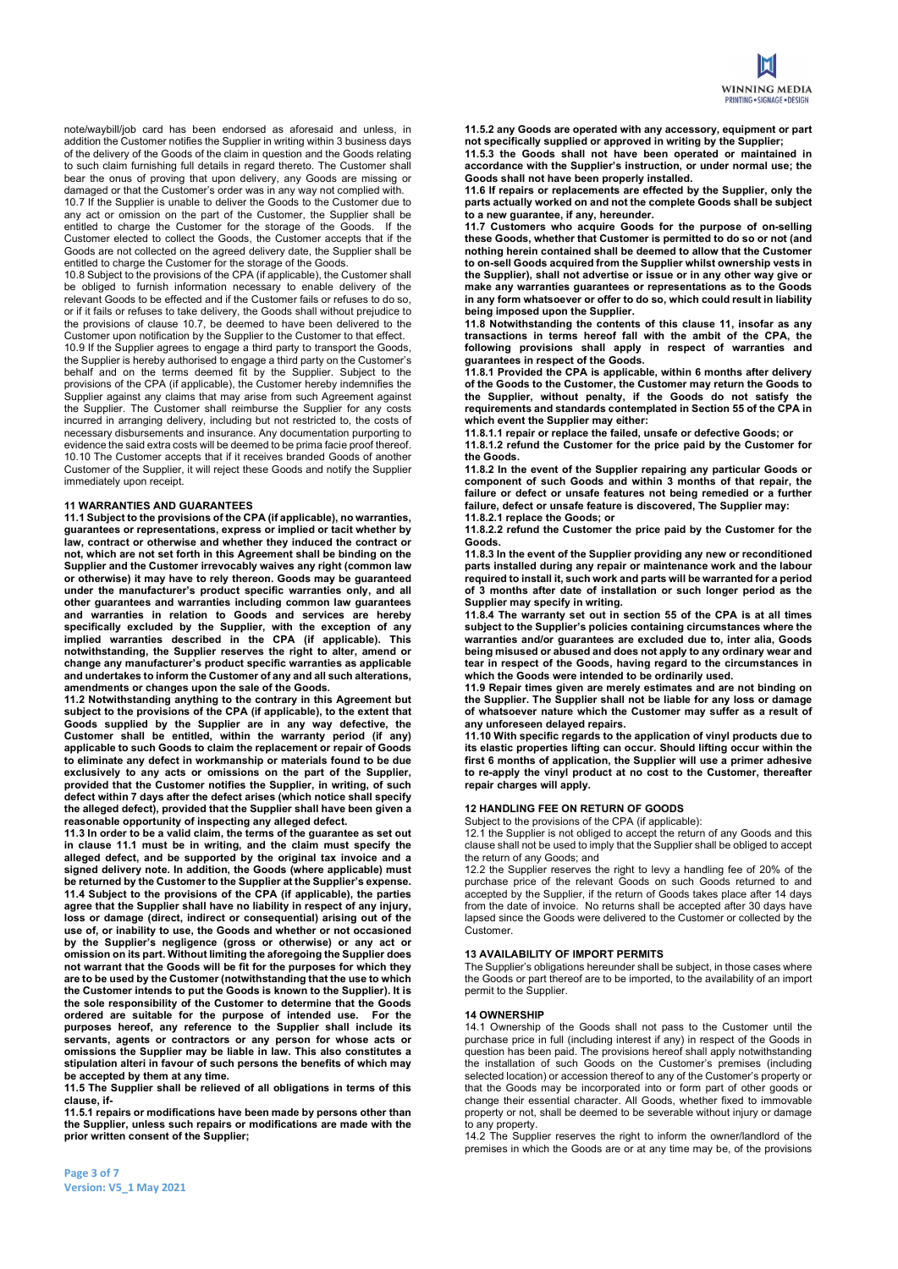note/waybill/job card has been endorsed as aforesaid and unless, in addition the Customer notifies the Supplier in writing within 3 business days of the delivery of the Goods of the claim in question and the Goods relating to such claim furnishing full details in regard thereto. The Customer shall bear the onus of proving that upon delivery, any Goods are missing or damaged or that the Customer's order was in any way not complied with.

10.7 If the Supplier is unable to deliver the Goods to the Customer due to any act or omission on the part of the Customer, the Supplier shall be entitled to charge the Customer for the storage of the Goods. If the Customer elected to collect the Goods, the Customer accepts that if the Goods are not collected on the agreed delivery date, the Supplier shall be entitled to charge the Customer for the storage of the Goods.

10.8 Subject to the provisions of the CPA (if applicable), the Customer shall be obliged to furnish information necessary to enable delivery of the relevant Goods to be effected and if the Customer fails or refuses to do so, or if it fails or refuses to take delivery, the Goods shall without prejudice to the provisions of clause 10.7, be deemed to have been delivered to the Customer upon notification by the Supplier to the Customer to that effect. 10.9 If the Supplier agrees to engage a third party to transport the Goods, the Supplier is hereby authorised to engage a third party on the Customer's behalf and on the terms deemed fit by the Supplier. Subject to the provisions of the CPA (if applicable), the Customer hereby indemnifies the Supplier against any claims that may arise from such Agreement against the Supplier. The Customer shall reimburse the Supplier for any costs incurred in arranging delivery, including but not restricted to, the costs of necessary disbursements and insurance. Any documentation purporting to evidence the said extra costs will be deemed to be prima facie proof thereof. 10.10 The Customer accepts that if it receives branded Goods of another Customer of the Supplier, it will reject these Goods and notify the Supplier immediately upon receipt.

## 11 WARRANTIES AND GUARANTEES

11.1 Subject to the provisions of the CPA (if applicable), no warranties, guarantees or representations, express or implied or tacit whether by law, contract or otherwise and whether they induced the contract or not, which are not set forth in this Agreement shall be binding on the Supplier and the Customer irrevocably waives any right (common law or otherwise) it may have to rely thereon. Goods may be guaranteed under the manufacturer's product specific warranties only, and all other guarantees and warranties including common law guarantees and warranties in relation to Goods and services are hereby specifically excluded by the Supplier, with the exception of any implied warranties described in the CPA (if applicable). This notwithstanding, the Supplier reserves the right to alter, amend or change any manufacturer's product specific warranties as applicable and undertakes to inform the Customer of any and all such alterations, amendments or changes upon the sale of the Goods.

11.2 Notwithstanding anything to the contrary in this Agreement but subject to the provisions of the CPA (if applicable), to the extent that Goods supplied by the Supplier are in any way defective, the Customer shall be entitled, within the warranty period (if any) applicable to such Goods to claim the replacement or repair of Goods to eliminate any defect in workmanship or materials found to be due exclusively to any acts or omissions on the part of the Supplier, provided that the Customer notifies the Supplier, in writing, of such defect within 7 days after the defect arises (which notice shall specify the alleged defect), provided that the Supplier shall have been given a reasonable opportunity of inspecting any alleged defect.

11.3 In order to be a valid claim, the terms of the guarantee as set out in clause 11.1 must be in writing, and the claim must specify the alleged defect, and be supported by the original tax invoice and a signed delivery note. In addition, the Goods (where applicable) must be returned by the Customer to the Supplier at the Supplier's expense. 11.4 Subject to the provisions of the CPA (if applicable), the parties agree that the Supplier shall have no liability in respect of any injury, loss or damage (direct, indirect or consequential) arising out of the use of, or inability to use, the Goods and whether or not occasioned by the Supplier's negligence (gross or otherwise) or any act or omission on its part. Without limiting the aforegoing the Supplier does not warrant that the Goods will be fit for the purposes for which they are to be used by the Customer (notwithstanding that the use to which the Customer intends to put the Goods is known to the Supplier). It is the sole responsibility of the Customer to determine that the Goods ordered are suitable for the purpose of intended use. For the purposes hereof, any reference to the Supplier shall include its servants, agents or contractors or any person for whose acts or omissions the Supplier may be liable in law. This also constitutes a stipulation alteri in favour of such persons the benefits of which may be accepted by them at any time.

11.5 The Supplier shall be relieved of all obligations in terms of this clause, if-

11.5.1 repairs or modifications have been made by persons other than the Supplier, unless such repairs or modifications are made with the prior written consent of the Supplier;

11.5.2 any Goods are operated with any accessory, equipment or part not specifically supplied or approved in writing by the Supplier;

11.5.3 the Goods shall not have been operated or maintained in accordance with the Supplier's instruction, or under normal use; the Goods shall not have been properly installed.

11.6 If repairs or replacements are effected by the Supplier, only the parts actually worked on and not the complete Goods shall be subject to a new guarantee, if any, hereunder.

11.7 Customers who acquire Goods for the purpose of on-selling these Goods, whether that Customer is permitted to do so or not (and nothing herein contained shall be deemed to allow that the Customer to on-sell Goods acquired from the Supplier whilst ownership vests in the Supplier), shall not advertise or issue or in any other way give or make any warranties guarantees or representations as to the Goods in any form whatsoever or offer to do so, which could result in liability being imposed upon the Supplier.

11.8 Notwithstanding the contents of this clause 11, insofar as any transactions in terms hereof fall with the ambit of the CPA, the following provisions shall apply in respect of warranties and guarantees in respect of the Goods.

11.8.1 Provided the CPA is applicable, within 6 months after delivery of the Goods to the Customer, the Customer may return the Goods to the Supplier, without penalty, if the Goods do not satisfy the requirements and standards contemplated in Section 55 of the CPA in which event the Supplier may either:

11.8.1.1 repair or replace the failed, unsafe or defective Goods; or 11.8.1.2 refund the Customer for the price paid by the Customer for the Goods.

11.8.2 In the event of the Supplier repairing any particular Goods or component of such Goods and within 3 months of that repair, the failure or defect or unsafe features not being remedied or a further failure, defect or unsafe feature is discovered, The Supplier may: 11.8.2.1 replace the Goods; or

11.8.2.2 refund the Customer the price paid by the Customer for the Goods.

11.8.3 In the event of the Supplier providing any new or reconditioned parts installed during any repair or maintenance work and the labour required to install it, such work and parts will be warranted for a period of 3 months after date of installation or such longer period as the Supplier may specify in writing.

11.8.4 The warranty set out in section 55 of the CPA is at all times subject to the Supplier's policies containing circumstances where the warranties and/or guarantees are excluded due to, inter alia, Goods being misused or abused and does not apply to any ordinary wear and tear in respect of the Goods, having regard to the circumstances in which the Goods were intended to be ordinarily used.

11.9 Repair times given are merely estimates and are not binding on the Supplier. The Supplier shall not be liable for any loss or damage of whatsoever nature which the Customer may suffer as a result of any unforeseen delayed repairs.

11.10 With specific regards to the application of vinyl products due to its elastic properties lifting can occur. Should lifting occur within the first 6 months of application, the Supplier will use a primer adhesive to re-apply the vinyl product at no cost to the Customer, thereafter repair charges will apply.

#### 12 HANDLING FEE ON RETURN OF GOODS

Subject to the provisions of the CPA (if applicable):

12.1 the Supplier is not obliged to accept the return of any Goods and this clause shall not be used to imply that the Supplier shall be obliged to accept the return of any Goods; and

12.2 the Supplier reserves the right to levy a handling fee of 20% of the purchase price of the relevant Goods on such Goods returned to and accepted by the Supplier, if the return of Goods takes place after 14 days from the date of invoice. No returns shall be accepted after 30 days have lapsed since the Goods were delivered to the Customer or collected by the Customer.

## 13 AVAILABILITY OF IMPORT PERMITS

The Supplier's obligations hereunder shall be subject, in those cases where the Goods or part thereof are to be imported, to the availability of an import permit to the Supplier.

#### 14 OWNERSHIP

14.1 Ownership of the Goods shall not pass to the Customer until the purchase price in full (including interest if any) in respect of the Goods in question has been paid. The provisions hereof shall apply notwithstanding the installation of such Goods on the Customer's premises (including selected location) or accession thereof to any of the Customer's property or that the Goods may be incorporated into or form part of other goods or change their essential character. All Goods, whether fixed to immovable property or not, shall be deemed to be severable without injury or damage to any property.

14.2 The Supplier reserves the right to inform the owner/landlord of the premises in which the Goods are or at any time may be, of the provisions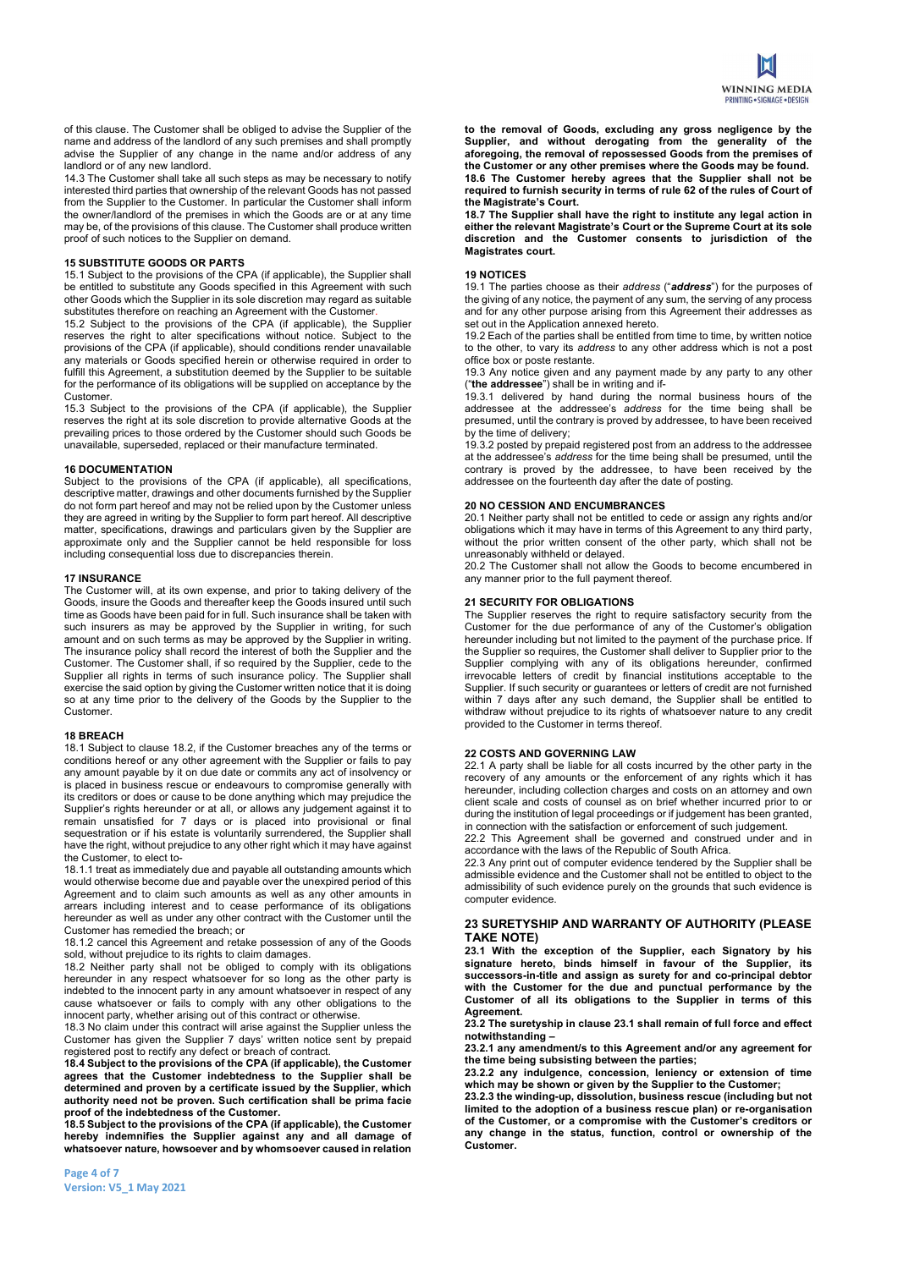of this clause. The Customer shall be obliged to advise the Supplier of the name and address of the landlord of any such premises and shall promptly advise the Supplier of any change in the name and/or address of any landlord or of any new landlord.

14.3 The Customer shall take all such steps as may be necessary to notify interested third parties that ownership of the relevant Goods has not passed from the Supplier to the Customer. In particular the Customer shall inform the owner/landlord of the premises in which the Goods are or at any time may be, of the provisions of this clause. The Customer shall produce written proof of such notices to the Supplier on demand.

#### 15 SUBSTITUTE GOODS OR PARTS

15.1 Subject to the provisions of the CPA (if applicable), the Supplier shall be entitled to substitute any Goods specified in this Agreement with such other Goods which the Supplier in its sole discretion may regard as suitable substitutes therefore on reaching an Agreement with the Customer.

15.2 Subject to the provisions of the CPA (if applicable), the Supplier reserves the right to alter specifications without notice. Subject to the provisions of the CPA (if applicable), should conditions render unavailable any materials or Goods specified herein or otherwise required in order to fulfill this Agreement, a substitution deemed by the Supplier to be suitable for the performance of its obligations will be supplied on acceptance by the Customer.

15.3 Subject to the provisions of the CPA (if applicable), the Supplier reserves the right at its sole discretion to provide alternative Goods at the prevailing prices to those ordered by the Customer should such Goods be unavailable, superseded, replaced or their manufacture terminated.

#### 16 DOCUMENTATION

Subject to the provisions of the CPA (if applicable), all specifications, descriptive matter, drawings and other documents furnished by the Supplier do not form part hereof and may not be relied upon by the Customer unless they are agreed in writing by the Supplier to form part hereof. All descriptive matter, specifications, drawings and particulars given by the Supplier are approximate only and the Supplier cannot be held responsible for loss including consequential loss due to discrepancies therein.

#### 17 INSURANCE

The Customer will, at its own expense, and prior to taking delivery of the Goods, insure the Goods and thereafter keep the Goods insured until such time as Goods have been paid for in full. Such insurance shall be taken with such insurers as may be approved by the Supplier in writing, for such amount and on such terms as may be approved by the Supplier in writing. The insurance policy shall record the interest of both the Supplier and the Customer. The Customer shall, if so required by the Supplier, cede to the Supplier all rights in terms of such insurance policy. The Supplier shall exercise the said option by giving the Customer written notice that it is doing so at any time prior to the delivery of the Goods by the Supplier to the Customer.

## 18 BREACH

18.1 Subject to clause 18.2, if the Customer breaches any of the terms or conditions hereof or any other agreement with the Supplier or fails to pay any amount payable by it on due date or commits any act of insolvency or is placed in business rescue or endeavours to compromise generally with its creditors or does or cause to be done anything which may prejudice the Supplier's rights hereunder or at all, or allows any judgement against it to remain unsatisfied for 7 days or is placed into provisional or final sequestration or if his estate is voluntarily surrendered, the Supplier shall have the right, without prejudice to any other right which it may have against the Customer, to elect to-

18.1.1 treat as immediately due and payable all outstanding amounts which would otherwise become due and payable over the unexpired period of this Agreement and to claim such amounts as well as any other amounts in arrears including interest and to cease performance of its obligations hereunder as well as under any other contract with the Customer until the Customer has remedied the breach; or

18.1.2 cancel this Agreement and retake possession of any of the Goods sold, without prejudice to its rights to claim damages.

18.2 Neither party shall not be obliged to comply with its obligations hereunder in any respect whatsoever for so long as the other party is indebted to the innocent party in any amount whatsoever in respect of any cause whatsoever or fails to comply with any other obligations to the innocent party, whether arising out of this contract or otherwise.

18.3 No claim under this contract will arise against the Supplier unless the Customer has given the Supplier 7 days' written notice sent by prepaid registered post to rectify any defect or breach of contract.

18.4 Subject to the provisions of the CPA (if applicable), the Customer agrees that the Customer indebtedness to the Supplier shall be determined and proven by a certificate issued by the Supplier, which authority need not be proven. Such certification shall be prima facie proof of the indebtedness of the Customer.

18.5 Subject to the provisions of the CPA (if applicable), the Customer hereby indemnifies the Supplier against any and all damage of whatsoever nature, howsoever and by whomsoever caused in relation to the removal of Goods, excluding any gross negligence by the Supplier, and without derogating from the generality of the aforegoing, the removal of repossessed Goods from the premises of the Customer or any other premises where the Goods may be found. 18.6 The Customer hereby agrees that the Supplier shall not be required to furnish security in terms of rule 62 of the rules of Court of the Magistrate's Court.

18.7 The Supplier shall have the right to institute any legal action in either the relevant Magistrate's Court or the Supreme Court at its sole discretion and the Customer consents to jurisdiction of the Magistrates court.

#### 19 NOTICES

19.1 The parties choose as their address ("address") for the purposes of the giving of any notice, the payment of any sum, the serving of any process and for any other purpose arising from this Agreement their addresses as set out in the Application annexed hereto.

19.2 Each of the parties shall be entitled from time to time, by written notice to the other, to vary its *address* to any other address which is not a post office box or poste restante.

19.3 Any notice given and any payment made by any party to any other ("the addressee") shall be in writing and if-

19.3.1 delivered by hand during the normal business hours of the addressee at the addressee's address for the time being shall be presumed, until the contrary is proved by addressee, to have been received by the time of delivery;

19.3.2 posted by prepaid registered post from an address to the addressee at the addressee's address for the time being shall be presumed, until the contrary is proved by the addressee, to have been received by the addressee on the fourteenth day after the date of posting.

## 20 NO CESSION AND ENCUMBRANCES

20.1 Neither party shall not be entitled to cede or assign any rights and/or obligations which it may have in terms of this Agreement to any third party, without the prior written consent of the other party, which shall not be unreasonably withheld or delayed.

20.2 The Customer shall not allow the Goods to become encumbered in any manner prior to the full payment thereof.

## 21 SECURITY FOR OBLIGATIONS

The Supplier reserves the right to require satisfactory security from the Customer for the due performance of any of the Customer's obligation hereunder including but not limited to the payment of the purchase price. If the Supplier so requires, the Customer shall deliver to Supplier prior to the Supplier complying with any of its obligations hereunder, confirmed irrevocable letters of credit by financial institutions acceptable to the Supplier. If such security or guarantees or letters of credit are not furnished within 7 days after any such demand, the Supplier shall be entitled to withdraw without prejudice to its rights of whatsoever nature to any credit provided to the Customer in terms thereof.

## 22 COSTS AND GOVERNING LAW

22.1 A party shall be liable for all costs incurred by the other party in the recovery of any amounts or the enforcement of any rights which it has hereunder, including collection charges and costs on an attorney and own client scale and costs of counsel as on brief whether incurred prior to or during the institution of legal proceedings or if judgement has been granted, in connection with the satisfaction or enforcement of such judgement.

22.2 This Agreement shall be governed and construed under and in accordance with the laws of the Republic of South Africa.

22.3 Any print out of computer evidence tendered by the Supplier shall be admissible evidence and the Customer shall not be entitled to object to the admissibility of such evidence purely on the grounds that such evidence is computer evidence.

## 23 SURETYSHIP AND WARRANTY OF AUTHORITY (PLEASE TAKE NOTE)

23.1 With the exception of the Supplier, each Signatory by his signature hereto, binds himself in favour of the Supplier, its successors-in-title and assign as surety for and co-principal debtor with the Customer for the due and punctual performance by the Customer of all its obligations to the Supplier in terms of this Agreement.

23.2 The suretyship in clause 23.1 shall remain of full force and effect notwithstanding –

23.2.1 any amendment/s to this Agreement and/or any agreement for the time being subsisting between the parties;

23.2.2 any indulgence, concession, leniency or extension of time which may be shown or given by the Supplier to the Customer;

23.2.3 the winding-up, dissolution, business rescue (including but not limited to the adoption of a business rescue plan) or re-organisation of the Customer, or a compromise with the Customer's creditors or any change in the status, function, control or ownership of the Customer.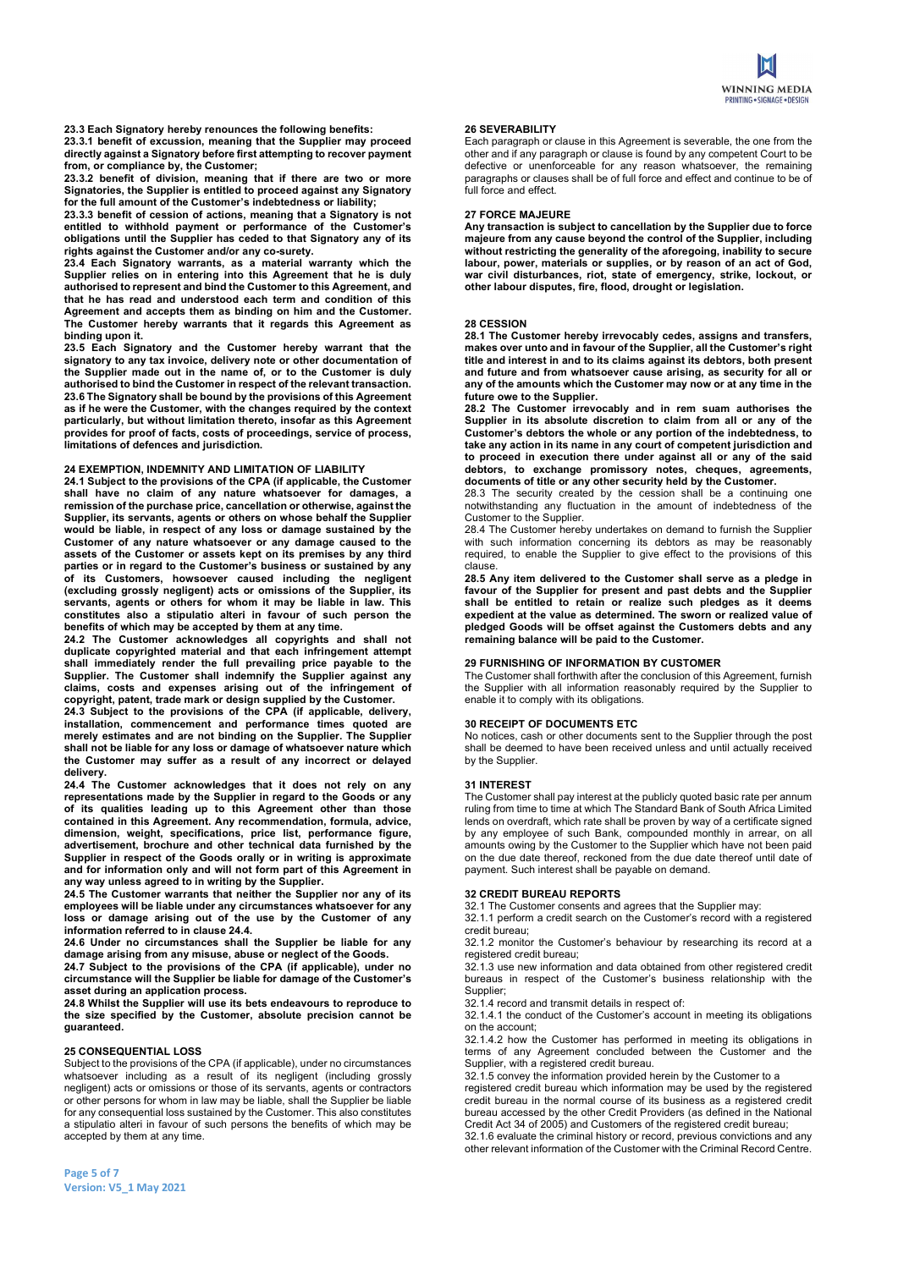23.3 Each Signatory hereby renounces the following benefits:

23.3.1 benefit of excussion, meaning that the Supplier may proceed directly against a Signatory before first attempting to recover payment from, or compliance by, the Customer;

23.3.2 benefit of division, meaning that if there are two or more Signatories, the Supplier is entitled to proceed against any Signatory for the full amount of the Customer's indebtedness or liability;

23.3.3 benefit of cession of actions, meaning that a Signatory is not entitled to withhold payment or performance of the Customer's obligations until the Supplier has ceded to that Signatory any of its rights against the Customer and/or any co-surety.

23.4 Each Signatory warrants, as a material warranty which the Supplier relies on in entering into this Agreement that he is duly authorised to represent and bind the Customer to this Agreement, and that he has read and understood each term and condition of this Agreement and accepts them as binding on him and the Customer. The Customer hereby warrants that it regards this Agreement as binding upon it.

23.5 Each Signatory and the Customer hereby warrant that the signatory to any tax invoice, delivery note or other documentation of the Supplier made out in the name of, or to the Customer is duly authorised to bind the Customer in respect of the relevant transaction. 23.6 The Signatory shall be bound by the provisions of this Agreement as if he were the Customer, with the changes required by the context particularly, but without limitation thereto, insofar as this Agreement provides for proof of facts, costs of proceedings, service of process, limitations of defences and jurisdiction.

# 24 EXEMPTION, INDEMNITY AND LIMITATION OF LIABILITY

24.1 Subject to the provisions of the CPA (if applicable, the Customer shall have no claim of any nature whatsoever for damages, a remission of the purchase price, cancellation or otherwise, against the Supplier, its servants, agents or others on whose behalf the Supplier would be liable, in respect of any loss or damage sustained by the Customer of any nature whatsoever or any damage caused to the assets of the Customer or assets kept on its premises by any third parties or in regard to the Customer's business or sustained by any of its Customers, howsoever caused including the negligent (excluding grossly negligent) acts or omissions of the Supplier, its servants, agents or others for whom it may be liable in law. This constitutes also a stipulatio alteri in favour of such person the benefits of which may be accepted by them at any time.

24.2 The Customer acknowledges all copyrights and shall not duplicate copyrighted material and that each infringement attempt shall immediately render the full prevailing price payable to the Supplier. The Customer shall indemnify the Supplier against any claims, costs and expenses arising out of the infringement of copyright, patent, trade mark or design supplied by the Customer.

24.3 Subject to the provisions of the CPA (if applicable, delivery, Installation, commencement and performance times quoted are merchandless, commencements and performances and  $\epsilon$  merely estimates and are not binding on the Supplier. The Supplier shall not be liable for any loss or damage of whatsoever nature which the Customer may suffer as a result of any incorrect or delayed delivery.

24.4 The Customer acknowledges that it does not rely on any representations made by the Supplier in regard to the Goods or any of its qualities leading up to this Agreement other than those contained in this Agreement. Any recommendation, formula, advice, dimension, weight, specifications, price list, performance figure, advertisement, brochure and other technical data furnished by the Supplier in respect of the Goods orally or in writing is approximate and for information only and will not form part of this Agreement in any way unless agreed to in writing by the Supplier.

24.5 The Customer warrants that neither the Supplier nor any of its employees will be liable under any circumstances whatsoever for any loss or damage arising out of the use by the Customer of any information referred to in clause 24.4.

24.6 Under no circumstances shall the Supplier be liable for any damage arising from any misuse, abuse or neglect of the Goods.

24.7 Subject to the provisions of the CPA (if applicable), under no circumstance will the Supplier be liable for damage of the Customer's asset during an application process.

24.8 Whilst the Supplier will use its bets endeavours to reproduce to the size specified by the Customer, absolute precision cannot be guaranteed.

## 25 CONSEQUENTIAL LOSS

Subject to the provisions of the CPA (if applicable), under no circumstances whatsoever including as a result of its negligent (including grossly negligent) acts or omissions or those of its servants, agents or contractors or other persons for whom in law may be liable, shall the Supplier be liable for any consequential loss sustained by the Customer. This also constitutes a stipulatio alteri in favour of such persons the benefits of which may be accepted by them at any time.

Each paragraph or clause in this Agreement is severable, the one from the other and if any paragraph or clause is found by any competent Court to be defective or unenforceable for any reason whatsoever, the remaining paragraphs or clauses shall be of full force and effect and continue to be of full force and effect.

#### 27 FORCE MAJEURE

Any transaction is subject to cancellation by the Supplier due to force majeure from any cause beyond the control of the Supplier, including without restricting the generality of the aforegoing, inability to secure labour, power, materials or supplies, or by reason of an act of God, ware any perfect, materially structurely at any tensor of an activity of the case, war civil disturbances, riot, state of emergency, strike, lockout, or other labour disputes, fire, flood, drought or legislation.

#### 28 CESSION

28.1 The Customer hereby irrevocably cedes, assigns and transfers, makes over unto and in favour of the Supplier, all the Customer's right title and interest in and to its claims against its debtors, both present and future and from whatsoever cause arising, as security for all or any of the amounts which the Customer may now or at any time in the future owe to the Supplier.

28.2 The Customer irrevocably and in rem suam authorises the Supplier in its absolute discretion to claim from all or any of the Customer's debtors the whole or any portion of the indebtedness, to take any action in its name in any court of competent jurisdiction and to proceed in execution there under against all or any of the said debtors, to exchange promissory notes, cheques, agreements, documents of title or any other security held by the Customer.

28.3 The security created by the cession shall be a continuing one notwithstanding any fluctuation in the amount of indebtedness of the Customer to the Supplier.

28.4 The Customer hereby undertakes on demand to furnish the Supplier with such information concerning its debtors as may be reasonably required, to enable the Supplier to give effect to the provisions of this clause.

28.5 Any item delivered to the Customer shall serve as a pledge in favour of the Supplier for present and past debts and the Supplier shall be entitled to retain or realize such pledges as it deems expedient at the value as determined. The sworn or realized value of pledged Goods will be offset against the Customers debts and any remaining balance will be paid to the Customer.

## 29 FURNISHING OF INFORMATION BY CUSTOMER

The Customer shall forthwith after the conclusion of this Agreement, furnish the Supplier with all information reasonably required by the Supplier to enable it to comply with its obligations.

## 30 RECEIPT OF DOCUMENTS ETC

No notices, cash or other documents sent to the Supplier through the post shall be deemed to have been received unless and until actually received by the Supplier.

#### 31 INTEREST

The Customer shall pay interest at the publicly quoted basic rate per annum ruling from time to time at which The Standard Bank of South Africa Limited lends on overdraft, which rate shall be proven by way of a certificate signed by any employee of such Bank, compounded monthly in arrear, on all amounts owing by the Customer to the Supplier which have not been paid on the due date thereof, reckoned from the due date thereof until date of payment. Such interest shall be payable on demand.

#### 32 CREDIT BUREAU REPORTS

32.1 The Customer consents and agrees that the Supplier may:

32.1.1 perform a credit search on the Customer's record with a registered credit bureau;

32.1.2 monitor the Customer's behaviour by researching its record at a registered credit bureau;

32.1.3 use new information and data obtained from other registered credit bureaus in respect of the Customer's business relationship with the Supplier;

32.1.4 record and transmit details in respect of:

32.1.4.1 the conduct of the Customer's account in meeting its obligations on the account;

32.1.4.2 how the Customer has performed in meeting its obligations in terms of any Agreement concluded between the Customer and the Supplier, with a registered credit bureau.

32.1.5 convey the information provided herein by the Customer to a

registered credit bureau which information may be used by the registered credit bureau in the normal course of its business as a registered credit bureau accessed by the other Credit Providers (as defined in the National Credit Act 34 of 2005) and Customers of the registered credit bureau;

32.1.6 evaluate the criminal history or record, previous convictions and any other relevant information of the Customer with the Criminal Record Centre.

Page 5 of 7 Version: V5\_1 May 2021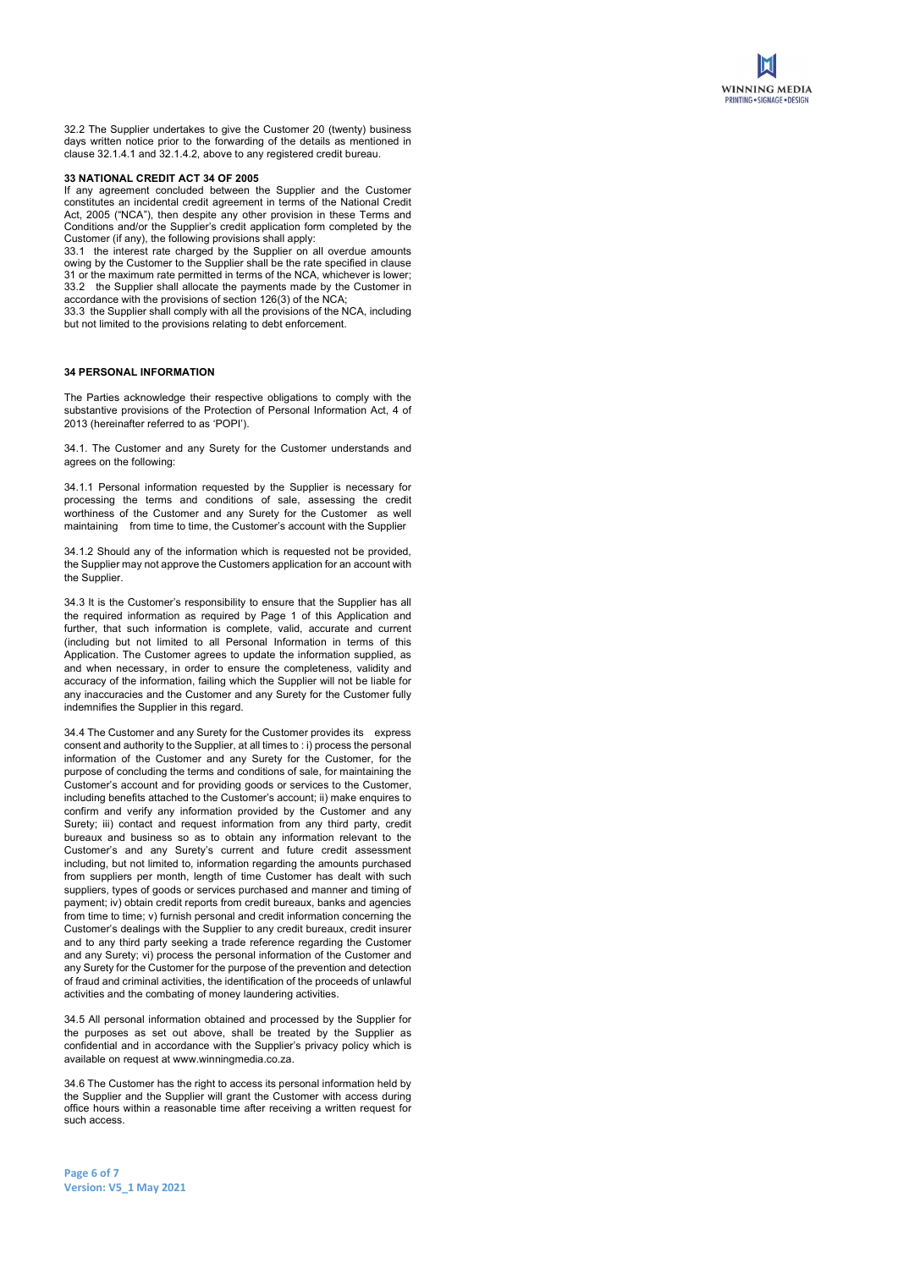

32.2 The Supplier undertakes to give the Customer 20 (twenty) business days written notice prior to the forwarding of the details as mentioned in clause 32.1.4.1 and 32.1.4.2, above to any registered credit bureau.

#### 33 NATIONAL CREDIT ACT 34 OF 2005

If any agreement concluded between the Supplier and the Customer constitutes an incidental credit agreement in terms of the National Credit Act, 2005 ("NCA"), then despite any other provision in these Terms and Conditions and/or the Supplier's credit application form completed by the Customer (if any), the following provisions shall apply:

33.1 the interest rate charged by the Supplier on all overdue amounts owing by the Customer to the Supplier shall be the rate specified in clause 31 or the maximum rate permitted in terms of the NCA, whichever is lower; 33.2 the Supplier shall allocate the payments made by the Customer in accordance with the provisions of section 126(3) of the NCA;

33.3 the Supplier shall comply with all the provisions of the NCA, including but not limited to the provisions relating to debt enforcement.

# 34 PERSONAL INFORMATION

The Parties acknowledge their respective obligations to comply with the substantive provisions of the Protection of Personal Information Act, 4 of 2013 (hereinafter referred to as 'POPI').

34.1. The Customer and any Surety for the Customer understands and agrees on the following:

34.1.1 Personal information requested by the Supplier is necessary for processing the terms and conditions of sale, assessing the credit worthiness of the Customer and any Surety for the Customer as well maintaining from time to time, the Customer's account with the Supplier

34.1.2 Should any of the information which is requested not be provided, the Supplier may not approve the Customers application for an account with the Supplier.

34.3 It is the Customer's responsibility to ensure that the Supplier has all the required information as required by Page 1 of this Application and further, that such information is complete, valid, accurate and current (including but not limited to all Personal Information in terms of this Application. The Customer agrees to update the information supplied, as and when necessary, in order to ensure the completeness, validity and accuracy of the information, failing which the Supplier will not be liable for any inaccuracies and the Customer and any Surety for the Customer fully indemnifies the Supplier in this regard.

34.4 The Customer and any Surety for the Customer provides its express consent and authority to the Supplier, at all times to : i) process the personal information of the Customer and any Surety for the Customer, for the purpose of concluding the terms and conditions of sale, for maintaining the Customer's account and for providing goods or services to the Customer, including benefits attached to the Customer's account; ii) make enquires to confirm and verify any information provided by the Customer and any Surety; iii) contact and request information from any third party, credit bureaux and business so as to obtain any information relevant to the Customer's and any Surety's current and future credit assessment including, but not limited to, information regarding the amounts purchased from suppliers per month, length of time Customer has dealt with such suppliers, types of goods or services purchased and manner and timing of payment; iv) obtain credit reports from credit bureaux, banks and agencies from time to time; v) furnish personal and credit information concerning the Customer's dealings with the Supplier to any credit bureaux, credit insurer and to any third party seeking a trade reference regarding the Customer and any Surety; vi) process the personal information of the Customer and any Surety for the Customer for the purpose of the prevention and detection of fraud and criminal activities, the identification of the proceeds of unlawful activities and the combating of money laundering activities.

34.5 All personal information obtained and processed by the Supplier for the purposes as set out above, shall be treated by the Supplier as confidential and in accordance with the Supplier's privacy policy which is available on request at www.winningmedia.co.za.

34.6 The Customer has the right to access its personal information held by the Supplier and the Supplier will grant the Customer with access during office hours within a reasonable time after receiving a written request for such access.